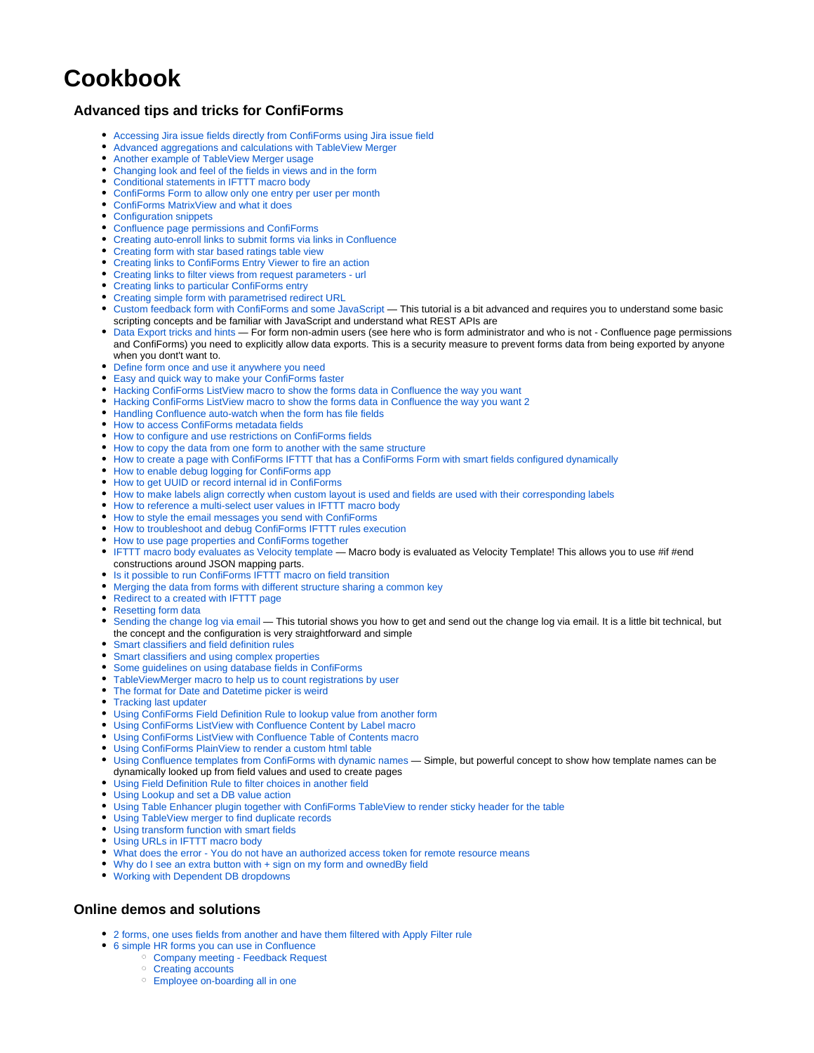## **Cookbook**

## **Advanced tips and tricks for ConfiForms**

- [Accessing Jira issue fields directly from ConfiForms using Jira issue field](https://wiki.vertuna.com/display/CONFIFORMS/Accessing+Jira+issue+fields+directly+from+ConfiForms+using+Jira+issue+field)
- [Advanced aggregations and calculations with TableView Merger](https://wiki.vertuna.com/display/CONFIFORMS/Advanced+aggregations+and+calculations+with+TableView+Merger)
- [Another example of TableView Merger usage](https://wiki.vertuna.com/display/CONFIFORMS/Another+example+of+TableView+Merger+usage)
- [Changing look and feel of the fields in views and in the form](https://wiki.vertuna.com/display/CONFIFORMS/Changing+look+and+feel+of+the+fields+in+views+and+in+the+form)
- [Conditional statements in IFTTT macro body](https://wiki.vertuna.com/display/CONFIFORMS/Conditional+statements+in+IFTTT+macro+body)
- [ConfiForms Form to allow only one entry per user per month](https://wiki.vertuna.com/display/CONFIFORMS/ConfiForms+Form+to+allow+only+one+entry+per+user+per+month)
- [ConfiForms MatrixView and what it does](https://wiki.vertuna.com/display/CONFIFORMS/ConfiForms+MatrixView+and+what+it+does)
- [Configuration snippets](https://wiki.vertuna.com/display/CONFIFORMS/Configuration+snippets)
- [Confluence page permissions and ConfiForms](https://wiki.vertuna.com/display/CONFIFORMS/Confluence+page+permissions+and+ConfiForms)
- [Creating auto-enroll links to submit forms via links in Confluence](https://wiki.vertuna.com/display/CONFIFORMS/Creating+auto-enroll+links+to+submit+forms+via+links+in+Confluence)
- [Creating form with star based ratings table view](https://wiki.vertuna.com/display/CONFIFORMS/Creating+form+with+star+based+ratings+table+view)
- [Creating links to ConfiForms Entry Viewer to fire an action](https://wiki.vertuna.com/display/CONFIFORMS/Creating+links+to+ConfiForms+Entry+Viewer+to+fire+an+action)
- [Creating links to filter views from request parameters url](https://wiki.vertuna.com/display/CONFIFORMS/Creating+links+to+filter+views+from+request+parameters+-+url)
- [Creating links to particular ConfiForms entry](https://wiki.vertuna.com/display/CONFIFORMS/Creating+links+to+particular+ConfiForms+entry)
- [Creating simple form with parametrised redirect URL](https://wiki.vertuna.com/display/CONFIFORMS/Creating+simple+form+with+parametrised+redirect+URL)
- $\bullet$ [Custom feedback form with ConfiForms and some JavaScript](https://wiki.vertuna.com/display/CONFIFORMS/Custom+feedback+form+with+ConfiForms+and+some+JavaScript) — This tutorial is a bit advanced and requires you to understand some basic scripting concepts and be familiar with JavaScript and understand what REST APIs are
- [Data Export tricks and hints](https://wiki.vertuna.com/display/CONFIFORMS/Data+Export+tricks+and+hints) For form non-admin users (see here who is form administrator and who is not Confluence page permissions and ConfiForms) you need to explicitly allow data exports. This is a security measure to prevent forms data from being exported by anyone when you dont't want to.
- [Define form once and use it anywhere you need](https://wiki.vertuna.com/display/CONFIFORMS/Define+form+once+and+use+it+anywhere+you+need)
- [Easy and quick way to make your ConfiForms faster](https://wiki.vertuna.com/display/CONFIFORMS/Easy+and+quick+way+to+make+your+ConfiForms+faster)
- [Hacking ConfiForms ListView macro to show the forms data in Confluence the way you want](https://wiki.vertuna.com/display/CONFIFORMS/Hacking+ConfiForms+ListView+macro+to+show+the+forms+data+in+Confluence+the+way+you+want)
- [Hacking ConfiForms ListView macro to show the forms data in Confluence the way you want 2](https://wiki.vertuna.com/display/CONFIFORMS/Hacking+ConfiForms+ListView+macro+to+show+the+forms+data+in+Confluence+the+way+you+want+2)
- [Handling Confluence auto-watch when the form has file fields](https://wiki.vertuna.com/display/CONFIFORMS/Handling+Confluence+auto-watch+when+the+form+has+file+fields)
- [How to access ConfiForms metadata fields](https://wiki.vertuna.com/display/CONFIFORMS/How+to+access+ConfiForms+metadata+fields)
- [How to configure and use restrictions on ConfiForms fields](https://wiki.vertuna.com/display/CONFIFORMS/How+to+configure+and+use+restrictions+on+ConfiForms+fields)
- [How to copy the data from one form to another with the same structure](https://wiki.vertuna.com/display/CONFIFORMS/How+to+copy+the+data+from+one+form+to+another+with+the+same+structure)
- [How to create a page with ConfiForms IFTTT that has a ConfiForms Form with smart fields configured dynamically](https://wiki.vertuna.com/display/CONFIFORMS/How+to+create+a+page+with+ConfiForms+IFTTT+that+has+a+ConfiForms+Form+with+smart+fields+configured+dynamically)
- [How to enable debug logging for ConfiForms app](https://wiki.vertuna.com/display/CONFIFORMS/How+to+enable+debug+logging+for+ConfiForms+app)
- [How to get UUID or record internal id in ConfiForms](https://wiki.vertuna.com/display/CONFIFORMS/How+to+get+UUID+or+record+internal+id+in+ConfiForms)
- [How to make labels align correctly when custom layout is used and fields are used with their corresponding labels](https://wiki.vertuna.com/display/CONFIFORMS/How+to+make+labels+align+correctly+when+custom+layout+is+used+and+fields+are+used+with+their+corresponding+labels)
- [How to reference a multi-select user values in IFTTT macro body](https://wiki.vertuna.com/display/CONFIFORMS/How+to+reference+a+multi-select+user+values+in+IFTTT+macro+body)
- [How to style the email messages you send with ConfiForms](https://wiki.vertuna.com/display/CONFIFORMS/How+to+style+the+email+messages+you+send+with+ConfiForms)
- [How to troubleshoot and debug ConfiForms IFTTT rules execution](https://wiki.vertuna.com/display/CONFIFORMS/How+to+troubleshoot+and+debug+ConfiForms+IFTTT+rules+execution)
- [How to use page properties and ConfiForms together](https://wiki.vertuna.com/display/CONFIFORMS/How+to+use+page+properties+and+ConfiForms+together)
- [IFTTT macro body evaluates as Velocity template](https://wiki.vertuna.com/display/CONFIFORMS/IFTTT+macro+body+evaluates+as+Velocity+template)  Macro body is evaluated as Velocity Template! This allows you to use #if #end constructions around JSON mapping parts.
- [Is it possible to run ConfiForms IFTTT macro on field transition](https://wiki.vertuna.com/display/CONFIFORMS/Is+it+possible+to+run+ConfiForms+IFTTT+macro+on+field+transition)
- [Merging the data from forms with different structure sharing a common key](https://wiki.vertuna.com/display/CONFIFORMS/Merging+the+data+from+forms+with+different+structure+sharing+a+common+key)
- [Redirect to a created with IFTTT page](https://wiki.vertuna.com/display/CONFIFORMS/Redirect+to+a+created+with+IFTTT+page)
- [Resetting form data](https://wiki.vertuna.com/display/CONFIFORMS/Resetting+form+data)
- [Sending the change log via email](https://wiki.vertuna.com/display/CONFIFORMS/Sending+the+change+log+via+email)  This tutorial shows you how to get and send out the change log via email. It is a little bit technical, but the concept and the configuration is very straightforward and simple
- [Smart classifiers and field definition rules](https://wiki.vertuna.com/display/CONFIFORMS/Smart+classifiers+and+field+definition+rules)
- [Smart classifiers and using complex properties](https://wiki.vertuna.com/display/CONFIFORMS/Smart+classifiers+and+using+complex+properties)
- [Some guidelines on using database fields in ConfiForms](https://wiki.vertuna.com/display/CONFIFORMS/Some+guidelines+on+using+database+fields+in+ConfiForms)
- [TableViewMerger macro to help us to count registrations by user](https://wiki.vertuna.com/display/CONFIFORMS/TableViewMerger+macro+to+help+us+to+count+registrations+by+user)
- [The format for Date and Datetime picker is weird](https://wiki.vertuna.com/display/CONFIFORMS/The+format+for+Date+and+Datetime+picker+is+weird)
- [Tracking last updater](https://wiki.vertuna.com/display/CONFIFORMS/Tracking+last+updater)
- [Using ConfiForms Field Definition Rule to lookup value from another form](https://wiki.vertuna.com/display/CONFIFORMS/Using+ConfiForms+Field+Definition+Rule+to+lookup+value+from+another+form)
- [Using ConfiForms ListView with Confluence Content by Label macro](https://wiki.vertuna.com/display/CONFIFORMS/Using+ConfiForms+ListView+with+Confluence+Content+by+Label+macro)
- [Using ConfiForms ListView with Confluence Table of Contents macro](https://wiki.vertuna.com/display/CONFIFORMS/Using+ConfiForms+ListView+with+Confluence+Table+of+Contents+macro)
- [Using ConfiForms PlainView to render a custom html table](https://wiki.vertuna.com/display/CONFIFORMS/Using+ConfiForms+PlainView+to+render+a+custom+html+table)
- $\bullet$ [Using Confluence templates from ConfiForms with dynamic names](https://wiki.vertuna.com/display/CONFIFORMS/Using+Confluence+templates+from+ConfiForms+with+dynamic+names) — Simple, but powerful concept to show how template names can be dynamically looked up from field values and used to create pages
- [Using Field Definition Rule to filter choices in another field](https://wiki.vertuna.com/display/CONFIFORMS/Using+Field+Definition+Rule+to+filter+choices+in+another+field)
- [Using Lookup and set a DB value action](https://wiki.vertuna.com/display/CONFIFORMS/Using+Lookup+and+set+a+DB+value+action)
- [Using Table Enhancer plugin together with ConfiForms TableView to render sticky header for the table](https://wiki.vertuna.com/display/CONFIFORMS/Using+Table+Enhancer+plugin+together+with+ConfiForms+TableView+to+render+sticky+header+for+the+table)
- [Using TableView merger to find duplicate records](https://wiki.vertuna.com/display/CONFIFORMS/Using+TableView+merger+to+find+duplicate+records)
- [Using transform function with smart fields](https://wiki.vertuna.com/display/CONFIFORMS/Using+transform+function+with+smart+fields)
- [Using URLs in IFTTT macro body](https://wiki.vertuna.com/display/CONFIFORMS/Using+URLs+in+IFTTT+macro+body)
- [What does the error You do not have an authorized access token for remote resource means](https://wiki.vertuna.com/display/CONFIFORMS/What+does+the+error+-+You+do+not+have+an+authorized+access+token+for+remote+resource+means)
- Why do I see an extra button with  $+$  sign on my form and ownedBy field
- [Working with Dependent DB dropdowns](https://wiki.vertuna.com/display/CONFIFORMS/Working+with+Dependent+DB+dropdowns)

## **Online demos and solutions**

- [2 forms, one uses fields from another and have them filtered with Apply Filter rule](https://wiki.vertuna.com/display/TEST/2+forms%2C+one+uses+fields+from+another+and+have+them+filtered+with+Apply+Filter+rule)
- [6 simple HR forms you can use in Confluence](https://wiki.vertuna.com/display/TEST/6+simple+HR+forms+you+can+use+in+Confluence)
	- [Company meeting Feedback Request](https://wiki.vertuna.com/display/TEST/Company+meeting+-+Feedback+Request)
		- <sup>o</sup> [Creating accounts](https://wiki.vertuna.com/display/TEST/Creating+accounts)
		- [Employee on-boarding all in one](https://wiki.vertuna.com/display/TEST/Employee+on-boarding+all+in+one)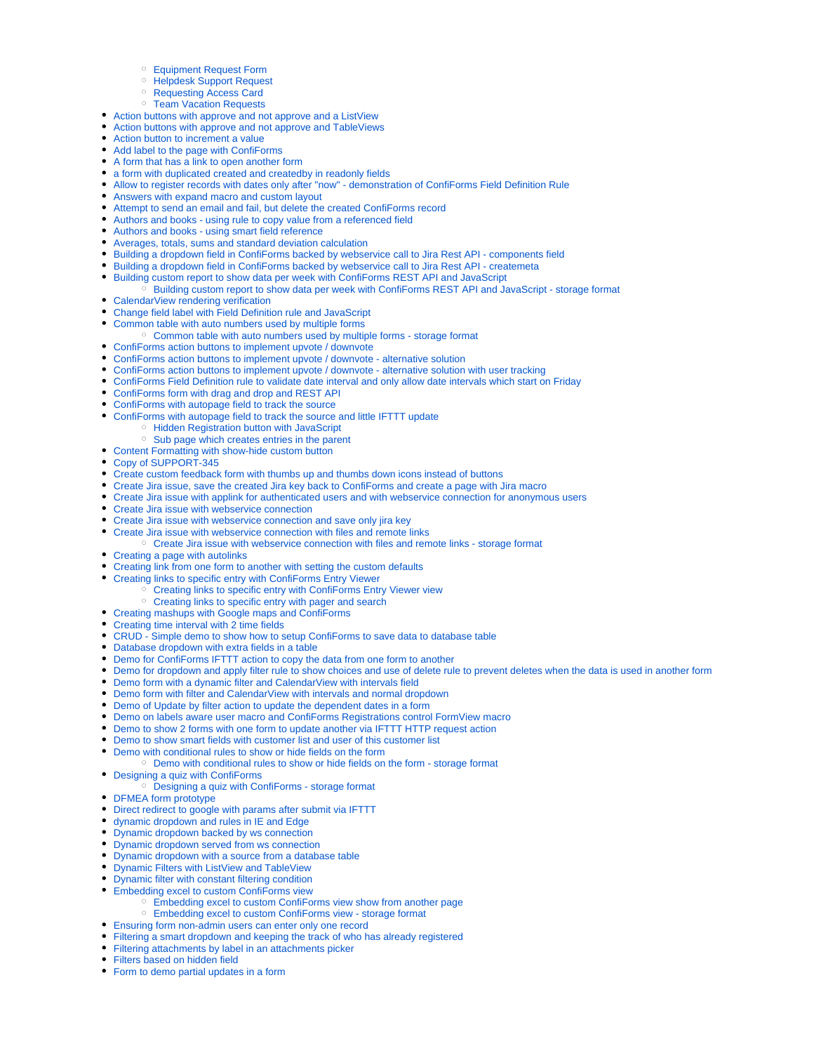- [Equipment Request Form](https://wiki.vertuna.com/display/TEST/Equipment+Request+Form)
- <sup>o</sup> [Helpdesk Support Request](https://wiki.vertuna.com/display/TEST/Helpdesk+Support+Request)
- <sup>o</sup> [Requesting Access Card](https://wiki.vertuna.com/display/TEST/Requesting+Access+Card)
- <sup>o</sup> [Team Vacation Requests](https://wiki.vertuna.com/display/TEST/Team+Vacation+Requests)
- [Action buttons with approve and not approve and a ListView](https://wiki.vertuna.com/display/TEST/Action+buttons+with+approve+and+not+approve+and+a+ListView)
- [Action buttons with approve and not approve and TableViews](https://wiki.vertuna.com/display/TEST/Action+buttons+with+approve+and+not+approve+and+TableViews)
- [Action button to increment a value](https://wiki.vertuna.com/display/TEST/Action+button+to+increment+a+value)
- [Add label to the page with ConfiForms](https://wiki.vertuna.com/display/TEST/Add+label+to+the+page+with+ConfiForms)
- [A form that has a link to open another form](https://wiki.vertuna.com/display/TEST/A+form+that+has+a+link+to+open+another+form)
- [a form with duplicated created and createdby in readonly fields](https://wiki.vertuna.com/display/TEST/a+form+with+duplicated+created+and+createdby+in+readonly+fields)
- [Allow to register records with dates only after "now" demonstration of ConfiForms Field Definition Rule](https://wiki.vertuna.com/pages/viewpage.action?pageId=25591937)
- [Answers with expand macro and custom layout](https://wiki.vertuna.com/display/TEST/Answers+with+expand+macro+and+custom+layout)
- [Attempt to send an email and fail, but delete the created ConfiForms record](https://wiki.vertuna.com/display/TEST/Attempt+to+send+an+email+and+fail%2C+but+delete+the+created+ConfiForms+record)
- [Authors and books using rule to copy value from a referenced field](https://wiki.vertuna.com/display/TEST/Authors+and+books+-+using+rule+to+copy+value+from+a+referenced+field)
- [Authors and books using smart field reference](https://wiki.vertuna.com/display/TEST/Authors+and+books+-+using+smart+field+reference)
- [Averages, totals, sums and standard deviation calculation](https://wiki.vertuna.com/display/TEST/Averages%2C+totals%2C+sums+and+standard+deviation+calculation)
- [Building a dropdown field in ConfiForms backed by webservice call to Jira Rest API components field](https://wiki.vertuna.com/display/TEST/Building+a+dropdown+field+in+ConfiForms+backed+by+webservice+call+to+Jira+Rest+API+-+components+field)
- [Building a dropdown field in ConfiForms backed by webservice call to Jira Rest API createmeta](https://wiki.vertuna.com/display/TEST/Building+a+dropdown+field+in+ConfiForms+backed+by+webservice+call+to+Jira+Rest+API+-+createmeta)
- $\bullet$ [Building custom report to show data per week with ConfiForms REST API and JavaScript](https://wiki.vertuna.com/display/TEST/Building+custom+report+to+show+data+per+week+with+ConfiForms+REST+API+and+JavaScript)
- <sup>o</sup> [Building custom report to show data per week with ConfiForms REST API and JavaScript storage format](https://wiki.vertuna.com/display/TEST/Building+custom+report+to+show+data+per+week+with+ConfiForms+REST+API+and+JavaScript+-+storage+format) • [CalendarView rendering verification](https://wiki.vertuna.com/display/TEST/CalendarView+rendering+verification)
- [Change field label with Field Definition rule and JavaScript](https://wiki.vertuna.com/display/TEST/Change+field+label+with+Field+Definition+rule+and+JavaScript)
- [Common table with auto numbers used by multiple forms](https://wiki.vertuna.com/display/TEST/Common+table+with+auto+numbers+used+by+multiple+forms)
	- [Common table with auto numbers used by multiple forms storage format](https://wiki.vertuna.com/display/TEST/Common+table+with+auto+numbers+used+by+multiple+forms+-+storage+format)
- [ConfiForms action buttons to implement upvote / downvote](https://wiki.vertuna.com/pages/viewpage.action?pageId=22708293)
- [ConfiForms action buttons to implement upvote / downvote alternative solution](https://wiki.vertuna.com/pages/viewpage.action?pageId=22708301)
- [ConfiForms action buttons to implement upvote / downvote alternative solution with user tracking](https://wiki.vertuna.com/pages/viewpage.action?pageId=33685768)
- [ConfiForms Field Definition rule to validate date interval and only allow date intervals which start on Friday](https://wiki.vertuna.com/display/TEST/ConfiForms+Field+Definition+rule+to+validate+date+interval+and+only+allow+date+intervals+which+start+on+Friday)
- [ConfiForms form with drag and drop and REST API](https://wiki.vertuna.com/display/TEST/ConfiForms+form+with+drag+and+drop+and+REST+API)
- [ConfiForms with autopage field to track the source](https://wiki.vertuna.com/display/TEST/ConfiForms+with+autopage+field+to+track+the+source)
- [ConfiForms with autopage field to track the source and little IFTTT update](https://wiki.vertuna.com/display/TEST/ConfiForms+with+autopage+field+to+track+the+source+and+little+IFTTT+update)
	- <sup>o</sup> [Hidden Registration button with JavaScript](https://wiki.vertuna.com/display/TEST/Hidden+Registration+button+with+JavaScript)
	- <sup>o</sup> [Sub page which creates entries in the parent](https://wiki.vertuna.com/display/TEST/Sub+page+which+creates+entries+in+the+parent)
- [Content Formatting with show-hide custom button](https://wiki.vertuna.com/display/TEST/Content+Formatting+with+show-hide+custom+button)
- [Copy of SUPPORT-345](https://wiki.vertuna.com/display/TEST/Copy+of+SUPPORT-345)
- [Create custom feedback form with thumbs up and thumbs down icons instead of buttons](https://wiki.vertuna.com/display/TEST/Create+custom+feedback+form+with+thumbs+up+and+thumbs+down+icons+instead+of+buttons)
- [Create Jira issue, save the created Jira key back to ConfiForms and create a page with Jira macro](https://wiki.vertuna.com/display/TEST/Create+Jira+issue%2C+save+the+created+Jira+key+back+to+ConfiForms+and+create+a+page+with+Jira+macro)
- [Create Jira issue with applink for authenticated users and with webservice connection for anonymous users](https://wiki.vertuna.com/display/TEST/Create+Jira+issue+with+applink+for+authenticated+users+and+with+webservice+connection+for+anonymous+users)
- [Create Jira issue with webservice connection](https://wiki.vertuna.com/display/TEST/Create+Jira+issue+with+webservice+connection)
- [Create Jira issue with webservice connection and save only jira key](https://wiki.vertuna.com/display/TEST/Create+Jira+issue+with+webservice+connection+and+save+only+jira+key)
- [Create Jira issue with webservice connection with files and remote links](https://wiki.vertuna.com/display/TEST/Create+Jira+issue+with+webservice+connection+with+files+and+remote+links)
- <sup>o</sup> [Create Jira issue with webservice connection with files and remote links storage format](https://wiki.vertuna.com/display/TEST/Create+Jira+issue+with+webservice+connection+with+files+and+remote+links+-+storage+format)
- [Creating a page with autolinks](https://wiki.vertuna.com/display/TEST/Creating+a+page+with+autolinks)
- [Creating link from one form to another with setting the custom defaults](https://wiki.vertuna.com/display/TEST/Creating+link+from+one+form+to+another+with+setting+the+custom+defaults)
- [Creating links to specific entry with ConfiForms Entry Viewer](https://wiki.vertuna.com/display/TEST/Creating+links+to+specific+entry+with+ConfiForms+Entry+Viewer)
	- <sup>o</sup> [Creating links to specific entry with ConfiForms Entry Viewer view](https://wiki.vertuna.com/display/TEST/Creating+links+to+specific+entry+with+ConfiForms+Entry+Viewer+view)
- <sup>o</sup> [Creating links to specific entry with pager and search](https://wiki.vertuna.com/display/TEST/Creating+links+to+specific+entry+with+pager+and+search)
- [Creating mashups with Google maps and ConfiForms](https://wiki.vertuna.com/display/TEST/Creating+mashups+with+Google+maps+and+ConfiForms)
- [Creating time interval with 2 time fields](https://wiki.vertuna.com/display/TEST/Creating+time+interval+with+2+time+fields)
- [CRUD Simple demo to show how to setup ConfiForms to save data to database table](https://wiki.vertuna.com/display/TEST/CRUD+-+Simple+demo+to+show+how+to+setup+ConfiForms+to+save+data+to+database+table)
- [Database dropdown with extra fields in a table](https://wiki.vertuna.com/display/TEST/Database+dropdown+with+extra+fields+in+a+table)
- [Demo for ConfiForms IFTTT action to copy the data from one form to another](https://wiki.vertuna.com/display/TEST/Demo+for+ConfiForms+IFTTT+action+to+copy+the+data+from+one+form+to+another)
- [Demo for dropdown and apply filter rule to show choices and use of delete rule to prevent deletes when the data is used in another form](https://wiki.vertuna.com/display/TEST/Demo+for+dropdown+and+apply+filter+rule+to+show+choices+and+use+of+delete+rule+to+prevent+deletes+when+the+data+is+used+in+another+form)
- [Demo form with a dynamic filter and CalendarView with intervals field](https://wiki.vertuna.com/display/TEST/Demo+form+with+a+dynamic+filter+and+CalendarView+with+intervals+field)
- [Demo form with filter and CalendarView with intervals and normal dropdown](https://wiki.vertuna.com/display/TEST/Demo+form+with+filter+and+CalendarView+with+intervals+and+normal+dropdown)
- [Demo of Update by filter action to update the dependent dates in a form](https://wiki.vertuna.com/display/TEST/Demo+of+Update+by+filter+action+to+update+the+dependent+dates+in+a+form)
- [Demo on labels aware user macro and ConfiForms Registrations control FormView macro](https://wiki.vertuna.com/display/TEST/Demo+on+labels+aware+user+macro+and+ConfiForms+Registrations+control+FormView+macro)
- [Demo to show 2 forms with one form to update another via IFTTT HTTP request action](https://wiki.vertuna.com/display/TEST/Demo+to+show+2+forms+with+one+form+to+update+another+via+IFTTT+HTTP+request+action)
- [Demo to show smart fields with customer list and user of this customer list](https://wiki.vertuna.com/display/TEST/Demo+to+show+smart+fields+with+customer+list+and+user+of+this+customer+list)
- [Demo with conditional rules to show or hide fields on the form](https://wiki.vertuna.com/display/TEST/Demo+with+conditional+rules+to+show+or+hide+fields+on+the+form)
- [Demo with conditional rules to show or hide fields on the form storage format](https://wiki.vertuna.com/display/TEST/Demo+with+conditional+rules+to+show+or+hide+fields+on+the+form+-+storage+format)
- [Designing a quiz with ConfiForms](https://wiki.vertuna.com/display/TEST/Designing+a+quiz+with+ConfiForms)
- [Designing a quiz with ConfiForms storage format](https://wiki.vertuna.com/display/TEST/Designing+a+quiz+with+ConfiForms+-+storage+format)
- [DFMEA form prototype](https://wiki.vertuna.com/display/TEST/DFMEA+form+prototype)
- [Direct redirect to google with params after submit via IFTTT](https://wiki.vertuna.com/display/TEST/Direct+redirect+to+google+with+params+after+submit+via+IFTTT)
- [dynamic dropdown and rules in IE and Edge](https://wiki.vertuna.com/display/TEST/dynamic+dropdown+and+rules+in+IE+and+Edge)
- [Dynamic dropdown backed by ws connection](https://wiki.vertuna.com/display/TEST/Dynamic+dropdown+backed+by+ws+connection)
- [Dynamic dropdown served from ws connection](https://wiki.vertuna.com/display/TEST/Dynamic+dropdown+served+from+ws+connection)
- [Dynamic dropdown with a source from a database table](https://wiki.vertuna.com/display/TEST/Dynamic+dropdown+with+a+source+from+a+database+table)
- **[Dynamic Filters with ListView and TableView](https://wiki.vertuna.com/display/TEST/Dynamic+Filters+with+ListView+and+TableView)**
- [Dynamic filter with constant filtering condition](https://wiki.vertuna.com/display/TEST/Dynamic+filter+with+constant+filtering+condition)
- $\bullet$ [Embedding excel to custom ConfiForms view](https://wiki.vertuna.com/display/TEST/Embedding+excel+to+custom+ConfiForms+view)
	- [Embedding excel to custom ConfiForms view show from another page](https://wiki.vertuna.com/display/TEST/Embedding+excel+to+custom+ConfiForms+view+show+from+another+page)
	- [Embedding excel to custom ConfiForms view storage format](https://wiki.vertuna.com/display/TEST/Embedding+excel+to+custom+ConfiForms+view+-+storage+format)
- [Ensuring form non-admin users can enter only one record](https://wiki.vertuna.com/display/TEST/Ensuring+form+non-admin+users+can+enter+only+one+record)
- [Filtering a smart dropdown and keeping the track of who has already registered](https://wiki.vertuna.com/display/TEST/Filtering+a+smart+dropdown+and+keeping+the+track+of+who+has+already+registered)
- [Filtering attachments by label in an attachments picker](https://wiki.vertuna.com/display/TEST/Filtering+attachments+by+label+in+an+attachments+picker)
- [Filters based on hidden field](https://wiki.vertuna.com/display/TEST/Filters+based+on+hidden+field)
- [Form to demo partial updates in a form](https://wiki.vertuna.com/display/TEST/Form+to+demo+partial+updates+in+a+form)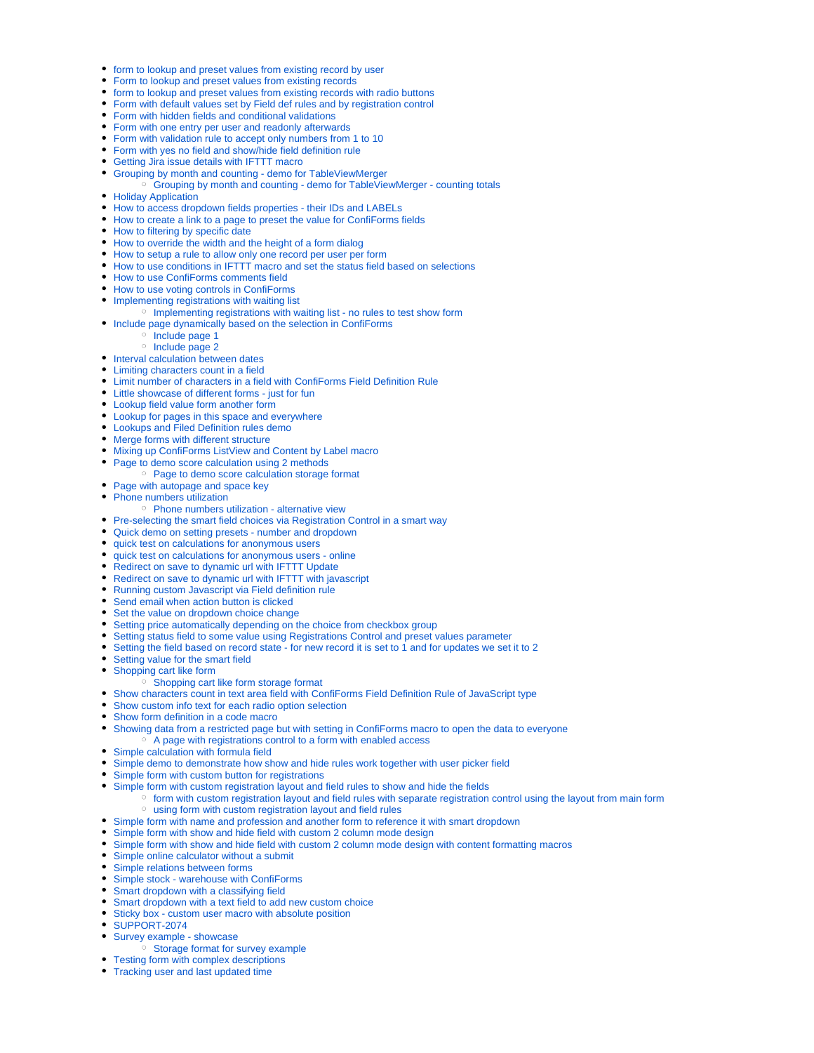- [form to lookup and preset values from existing record by user](https://wiki.vertuna.com/display/TEST/form+to+lookup+and+preset+values+from+existing+record+by+user)
- [Form to lookup and preset values from existing records](https://wiki.vertuna.com/display/TEST/Form+to+lookup+and+preset+values+from+existing+records)
- [form to lookup and preset values from existing records with radio buttons](https://wiki.vertuna.com/display/TEST/form+to+lookup+and+preset+values+from+existing+records+with+radio+buttons)
- [Form with default values set by Field def rules and by registration control](https://wiki.vertuna.com/display/TEST/Form+with+default+values+set+by+Field+def+rules+and+by+registration+control)
- [Form with hidden fields and conditional validations](https://wiki.vertuna.com/display/TEST/Form+with+hidden+fields+and+conditional+validations)
- [Form with one entry per user and readonly afterwards](https://wiki.vertuna.com/display/TEST/Form+with+one+entry+per+user+and+readonly+afterwards)
- [Form with validation rule to accept only numbers from 1 to 10](https://wiki.vertuna.com/display/TEST/Form+with+validation+rule+to+accept+only+numbers+from+1+to+10)
- [Form with yes no field and show/hide field definition rule](https://wiki.vertuna.com/pages/viewpage.action?pageId=4522189)
- [Getting Jira issue details with IFTTT macro](https://wiki.vertuna.com/display/TEST/Getting+Jira+issue+details+with+IFTTT+macro)
- [Grouping by month and counting demo for TableViewMerger](https://wiki.vertuna.com/display/TEST/Grouping+by+month+and+counting+-+demo+for+TableViewMerger) <sup>o</sup> [Grouping by month and counting - demo for TableViewMerger - counting totals](https://wiki.vertuna.com/display/TEST/Grouping+by+month+and+counting+-+demo+for+TableViewMerger+-+counting+totals)
- [Holiday Application](https://wiki.vertuna.com/display/TEST/Holiday+Application)
- [How to access dropdown fields properties their IDs and LABELs](https://wiki.vertuna.com/display/TEST/How+to+access+dropdown+fields+properties+-+their+IDs+and+LABELs)
- [How to create a link to a page to preset the value for ConfiForms fields](https://wiki.vertuna.com/display/TEST/How+to+create+a+link+to+a+page+to+preset+the+value+for+ConfiForms+fields)
- [How to filtering by specific date](https://wiki.vertuna.com/display/TEST/How+to+filtering+by+specific+date)
- [How to override the width and the height of a form dialog](https://wiki.vertuna.com/display/TEST/How+to+override+the+width+and+the+height+of+a+form+dialog)
- [How to setup a rule to allow only one record per user per form](https://wiki.vertuna.com/display/TEST/How+to+setup+a+rule+to+allow+only+one+record+per+user+per+form)
- [How to use conditions in IFTTT macro and set the status field based on selections](https://wiki.vertuna.com/display/TEST/How+to+use+conditions+in+IFTTT+macro+and+set+the+status+field+based+on+selections)
- [How to use ConfiForms comments field](https://wiki.vertuna.com/display/TEST/How+to+use+ConfiForms+comments+field)
- [How to use voting controls in ConfiForms](https://wiki.vertuna.com/display/TEST/How+to+use+voting+controls+in+ConfiForms)
- [Implementing registrations with waiting list](https://wiki.vertuna.com/display/TEST/Implementing+registrations+with+waiting+list)
	- <sup>o</sup> [Implementing registrations with waiting list no rules to test show form](https://wiki.vertuna.com/display/TEST/Implementing+registrations+with+waiting+list+-+no+rules+to+test+show+form)
- [Include page dynamically based on the selection in ConfiForms](https://wiki.vertuna.com/display/TEST/Include+page+dynamically+based+on+the+selection+in+ConfiForms)
	- <sup>o</sup> [Include page 1](https://wiki.vertuna.com/display/TEST/Include+page+1)
	- <sup>o</sup> [Include page 2](https://wiki.vertuna.com/display/TEST/Include+page+2)
- [Interval calculation between dates](https://wiki.vertuna.com/display/TEST/Interval+calculation+between+dates)
- [Limiting characters count in a field](https://wiki.vertuna.com/display/TEST/Limiting+characters+count+in+a+field)
- [Limit number of characters in a field with ConfiForms Field Definition Rule](https://wiki.vertuna.com/display/TEST/Limit+number+of+characters+in+a+field+with+ConfiForms+Field+Definition+Rule)
- [Little showcase of different forms just for fun](https://wiki.vertuna.com/display/TEST/Little+showcase+of+different+forms+-+just+for+fun)
- [Lookup field value form another form](https://wiki.vertuna.com/display/TEST/Lookup+field+value+form+another+form)
- [Lookup for pages in this space and everywhere](https://wiki.vertuna.com/display/TEST/Lookup+for+pages+in+this+space+and+everywhere)
- [Lookups and Filed Definition rules demo](https://wiki.vertuna.com/display/TEST/Lookups+and+Filed+Definition+rules+demo)
- [Merge forms with different structure](https://wiki.vertuna.com/display/TEST/Merge+forms+with+different+structure)
- [Mixing up ConfiForms ListView and Content by Label macro](https://wiki.vertuna.com/display/TEST/Mixing+up+ConfiForms+ListView+and+Content+by+Label+macro)
- [Page to demo score calculation using 2 methods](https://wiki.vertuna.com/display/TEST/Page+to+demo+score+calculation+using+2+methods)
	- <sup>o</sup> [Page to demo score calculation storage format](https://wiki.vertuna.com/display/TEST/Page+to+demo+score+calculation+storage+format)
- [Page with autopage and space key](https://wiki.vertuna.com/display/TEST/Page+with+autopage+and+space+key)
- [Phone numbers utilization](https://wiki.vertuna.com/display/TEST/Phone+numbers+utilization)
	- <sup>o</sup> [Phone numbers utilization alternative view](https://wiki.vertuna.com/display/TEST/Phone+numbers+utilization+-+alternative+view)
- [Pre-selecting the smart field choices via Registration Control in a smart way](https://wiki.vertuna.com/display/TEST/Pre-selecting+the+smart+field+choices+via+Registration+Control+in+a+smart+way)
- [Quick demo on setting presets number and dropdown](https://wiki.vertuna.com/display/TEST/Quick+demo+on+setting+presets+-+number+and+dropdown)
- [quick test on calculations for anonymous users](https://wiki.vertuna.com/display/TEST/quick+test+on+calculations+for+anonymous+users)
- [quick test on calculations for anonymous users online](https://wiki.vertuna.com/display/TEST/quick+test+on+calculations+for+anonymous+users+-+online)
- [Redirect on save to dynamic url with IFTTT Update](https://wiki.vertuna.com/display/TEST/Redirect+on+save+to+dynamic+url+with+IFTTT+Update)
- [Redirect on save to dynamic url with IFTTT with javascript](https://wiki.vertuna.com/display/TEST/Redirect+on+save+to+dynamic+url+with+IFTTT+with+javascript)
- [Running custom Javascript via Field definition rule](https://wiki.vertuna.com/display/TEST/Running+custom+Javascript+via+Field+definition+rule)
- [Send email when action button is clicked](https://wiki.vertuna.com/display/TEST/Send+email+when+action+button+is+clicked)
- [Set the value on dropdown choice change](https://wiki.vertuna.com/display/TEST/Set+the+value+on+dropdown+choice+change)
- [Setting price automatically depending on the choice from checkbox group](https://wiki.vertuna.com/display/TEST/Setting+price+automatically+depending+on+the+choice+from+checkbox+group)
- [Setting status field to some value using Registrations Control and preset values parameter](https://wiki.vertuna.com/display/TEST/Setting+status+field+to+some+value+using+Registrations+Control+and+preset+values+parameter)
- [Setting the field based on record state for new record it is set to 1 and for updates we set it to 2](https://wiki.vertuna.com/display/TEST/Setting+the+field+based+on+record+state+-+for+new+record+it+is+set+to+1+and+for+updates+we+set+it+to+2)
- [Setting value for the smart field](https://wiki.vertuna.com/display/TEST/Setting+value+for+the+smart+field)
- [Shopping cart like form](https://wiki.vertuna.com/display/TEST/Shopping+cart+like+form)
	- [Shopping cart like form storage format](https://wiki.vertuna.com/display/TEST/Shopping+cart+like+form+storage+format)
- [Show characters count in text area field with ConfiForms Field Definition Rule of JavaScript type](https://wiki.vertuna.com/display/TEST/Show+characters+count+in+text+area+field+with+ConfiForms+Field+Definition+Rule+of+JavaScript+type)
- [Show custom info text for each radio option selection](https://wiki.vertuna.com/display/TEST/Show+custom+info+text+for+each+radio+option+selection)
- [Show form definition in a code macro](https://wiki.vertuna.com/display/TEST/Show+form+definition+in+a+code+macro)
- [Showing data from a restricted page but with setting in ConfiForms macro to open the data to everyone](https://wiki.vertuna.com/display/TEST/Showing+data+from+a+restricted+page+but+with+setting+in+ConfiForms+macro+to+open+the+data+to+everyone)
- <sup>o</sup> [A page with registrations control to a form with enabled access](https://wiki.vertuna.com/display/TEST/A+page+with+registrations+control+to+a+form+with+enabled+access)
- [Simple calculation with formula field](https://wiki.vertuna.com/display/TEST/Simple+calculation+with+formula+field)
- [Simple demo to demonstrate how show and hide rules work together with user picker field](https://wiki.vertuna.com/display/TEST/Simple+demo+to+demonstrate+how+show+and+hide+rules+work+together+with+user+picker+field)
- [Simple form with custom button for registrations](https://wiki.vertuna.com/display/TEST/Simple+form+with+custom+button+for+registrations)  $\bullet$ 
	- [Simple form with custom registration layout and field rules to show and hide the fields](https://wiki.vertuna.com/display/TEST/Simple+form+with+custom+registration+layout+and+field+rules+to+show+and+hide+the+fields)
		- [form with custom registration layout and field rules with separate registration control using the layout from main form](https://wiki.vertuna.com/display/TEST/form+with+custom+registration+layout+and+field+rules+with+separate+registration+control+using+the+layout+from+main+form) [using form with custom registration layout and field rules](https://wiki.vertuna.com/display/TEST/using+form+with+custom+registration+layout+and+field+rules)
- [Simple form with name and profession and another form to reference it with smart dropdown](https://wiki.vertuna.com/display/TEST/Simple+form+with+name+and+profession+and+another+form+to+reference+it+with+smart+dropdown)
- [Simple form with show and hide field with custom 2 column mode design](https://wiki.vertuna.com/display/TEST/Simple+form+with+show+and+hide+field+with+custom+2+column+mode+design)
- [Simple form with show and hide field with custom 2 column mode design with content formatting macros](https://wiki.vertuna.com/display/TEST/Simple+form+with+show+and+hide+field+with+custom+2+column+mode+design+with+content+formatting+macros)
- [Simple online calculator without a submit](https://wiki.vertuna.com/display/TEST/Simple+online+calculator+without+a+submit)
- [Simple relations between forms](https://wiki.vertuna.com/display/TEST/Simple+relations+between+forms)
- [Simple stock warehouse with ConfiForms](https://wiki.vertuna.com/display/TEST/Simple+stock+-+warehouse+with+ConfiForms)
- [Smart dropdown with a classifying field](https://wiki.vertuna.com/display/TEST/Smart+dropdown+with+a+classifying+field)
- [Smart dropdown with a text field to add new custom choice](https://wiki.vertuna.com/display/TEST/Smart+dropdown+with+a+text+field+to+add+new+custom+choice)
- [Sticky box custom user macro with absolute position](https://wiki.vertuna.com/display/TEST/Sticky+box+-+custom+user+macro+with+absolute+position)
- [SUPPORT-2074](https://wiki.vertuna.com/display/TEST/SUPPORT-2074)
- [Survey example showcase](https://wiki.vertuna.com/display/TEST/Survey+example+-+showcase)
	- <sup>o</sup> [Storage format for survey example](https://wiki.vertuna.com/display/TEST/Storage+format+for+survey+example)
- [Testing form with complex descriptions](https://wiki.vertuna.com/display/TEST/Testing+form+with+complex+descriptions)
- [Tracking user and last updated time](https://wiki.vertuna.com/display/TEST/Tracking+user+and+last+updated+time)